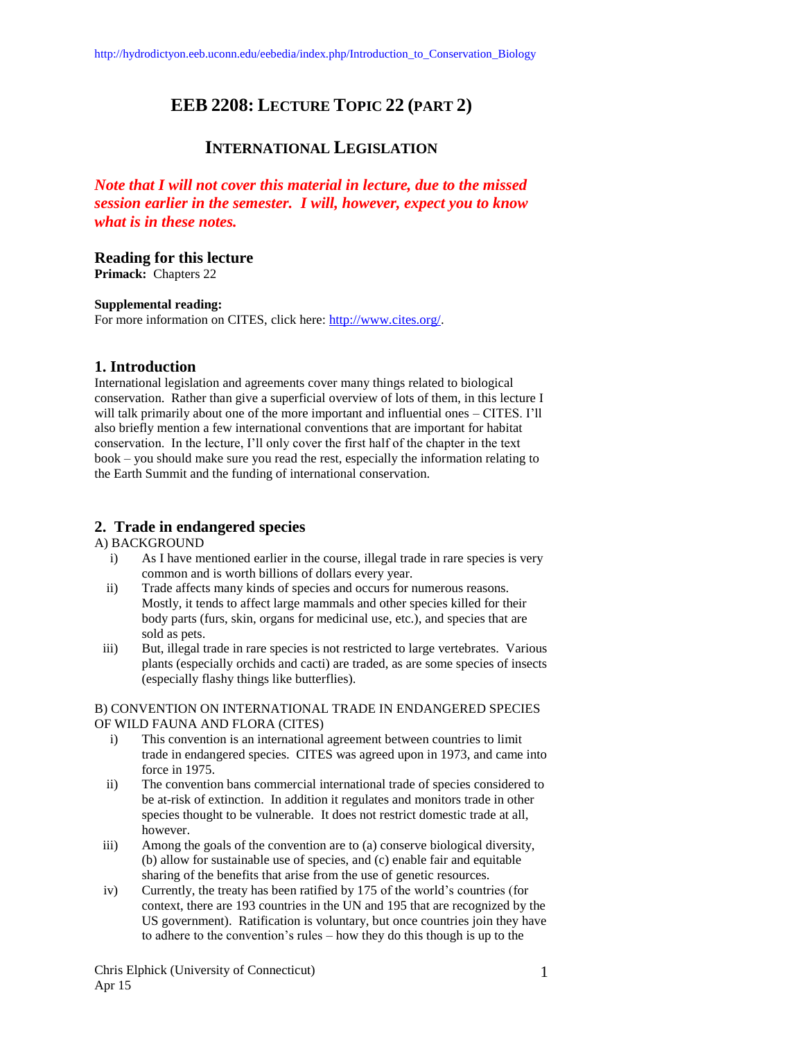# **EEB 2208: LECTURE TOPIC 22 (PART 2)**

## **INTERNATIONAL LEGISLATION**

*Note that I will not cover this material in lecture, due to the missed session earlier in the semester. I will, however, expect you to know what is in these notes.* 

## **Reading for this lecture**

**Primack:** Chapters 22

### **Supplemental reading:**

For more information on CITES, click here: [http://www.cites.org/.](http://www.cites.org/)

### **1. Introduction**

International legislation and agreements cover many things related to biological conservation. Rather than give a superficial overview of lots of them, in this lecture I will talk primarily about one of the more important and influential ones – CITES. I'll also briefly mention a few international conventions that are important for habitat conservation. In the lecture, I'll only cover the first half of the chapter in the text book – you should make sure you read the rest, especially the information relating to the Earth Summit and the funding of international conservation.

### **2. Trade in endangered species**

A) BACKGROUND

- i) As I have mentioned earlier in the course, illegal trade in rare species is very common and is worth billions of dollars every year.
- ii) Trade affects many kinds of species and occurs for numerous reasons. Mostly, it tends to affect large mammals and other species killed for their body parts (furs, skin, organs for medicinal use, etc.), and species that are sold as pets.
- iii) But, illegal trade in rare species is not restricted to large vertebrates. Various plants (especially orchids and cacti) are traded, as are some species of insects (especially flashy things like butterflies).

### B) CONVENTION ON INTERNATIONAL TRADE IN ENDANGERED SPECIES OF WILD FAUNA AND FLORA (CITES)

- i) This convention is an international agreement between countries to limit trade in endangered species. CITES was agreed upon in 1973, and came into force in 1975.
- ii) The convention bans commercial international trade of species considered to be at-risk of extinction. In addition it regulates and monitors trade in other species thought to be vulnerable. It does not restrict domestic trade at all, however.
- iii) Among the goals of the convention are to (a) conserve biological diversity, (b) allow for sustainable use of species, and (c) enable fair and equitable sharing of the benefits that arise from the use of genetic resources.
- iv) Currently, the treaty has been ratified by 175 of the world's countries (for context, there are 193 countries in the UN and 195 that are recognized by the US government). Ratification is voluntary, but once countries join they have to adhere to the convention's rules – how they do this though is up to the